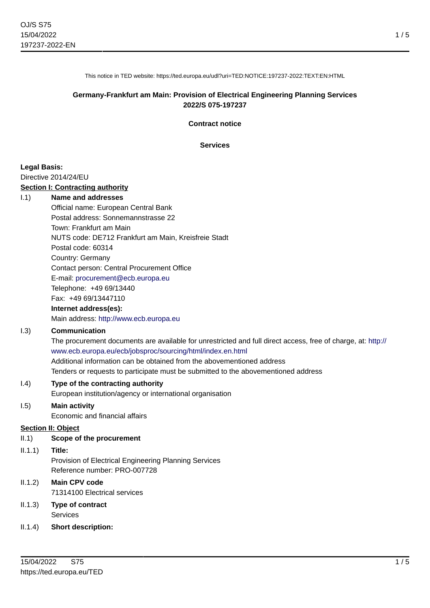1 / 5

This notice in TED website: https://ted.europa.eu/udl?uri=TED:NOTICE:197237-2022:TEXT:EN:HTML

# **Germany-Frankfurt am Main: Provision of Electrical Engineering Planning Services 2022/S 075-197237**

**Contract notice**

**Services**

#### **Legal Basis:**

Directive 2014/24/EU

#### **Section I: Contracting authority**

#### I.1) **Name and addresses**

Official name: European Central Bank Postal address: Sonnemannstrasse 22 Town: Frankfurt am Main NUTS code: DE712 Frankfurt am Main, Kreisfreie Stadt Postal code: 60314 Country: Germany Contact person: Central Procurement Office E-mail: [procurement@ecb.europa.eu](mailto:procurement@ecb.europa.eu) Telephone: +49 69/13440 Fax: +49 69/13447110

# **Internet address(es):**

Main address:<http://www.ecb.europa.eu>

### I.3) **Communication**

The procurement documents are available for unrestricted and full direct access, free of charge, at: [http://](http://www.ecb.europa.eu/ecb/jobsproc/sourcing/html/index.en.html) [www.ecb.europa.eu/ecb/jobsproc/sourcing/html/index.en.html](http://www.ecb.europa.eu/ecb/jobsproc/sourcing/html/index.en.html) Additional information can be obtained from the abovementioned address Tenders or requests to participate must be submitted to the abovementioned address

#### I.4) **Type of the contracting authority**

European institution/agency or international organisation

## I.5) **Main activity**

Economic and financial affairs

#### **Section II: Object**

II.1) **Scope of the procurement**

#### II.1.1) **Title:**

Provision of Electrical Engineering Planning Services Reference number: PRO-007728

# II.1.2) **Main CPV code**

71314100 Electrical services

# II.1.3) **Type of contract** Services

II.1.4) **Short description:**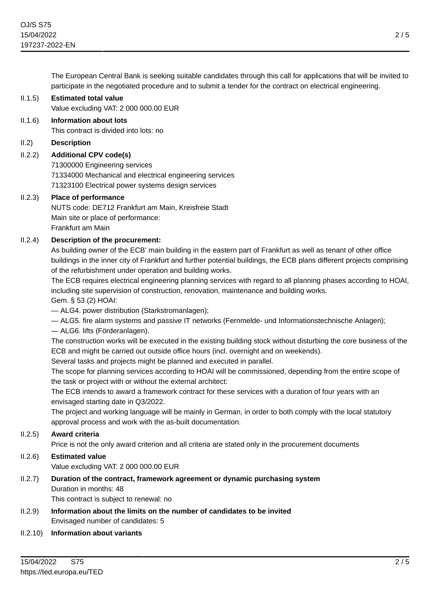The European Central Bank is seeking suitable candidates through this call for applications that will be invited to participate in the negotiated procedure and to submit a tender for the contract on electrical engineering.

### II.1.5) **Estimated total value**

Value excluding VAT: 2 000 000.00 EUR

### II.1.6) **Information about lots**

This contract is divided into lots: no

### II.2) **Description**

# II.2.2) **Additional CPV code(s)**

71300000 Engineering services 71334000 Mechanical and electrical engineering services 71323100 Electrical power systems design services

#### II.2.3) **Place of performance**

NUTS code: DE712 Frankfurt am Main, Kreisfreie Stadt Main site or place of performance: Frankfurt am Main

# II.2.4) **Description of the procurement:**

As building owner of the ECB' main building in the eastern part of Frankfurt as well as tenant of other office buildings in the inner city of Frankfurt and further potential buildings, the ECB plans different projects comprising of the refurbishment under operation and building works.

The ECB requires electrical engineering planning services with regard to all planning phases according to HOAI, including site supervision of construction, renovation, maintenance and building works.

Gem. § 53 (2) HOAI:

— ALG4. power distribution (Starkstromanlagen);

— ALG5. fire alarm systems and passive IT networks (Fernmelde- und Informationstechnische Anlagen);

— ALG6. lifts (Förderanlagen).

The construction works will be executed in the existing building stock without disturbing the core business of the ECB and might be carried out outside office hours (incl. overnight and on weekends).

Several tasks and projects might be planned and executed in parallel.

The scope for planning services according to HOAI will be commissioned, depending from the entire scope of the task or project with or without the external architect:

The ECB intends to award a framework contract for these services with a duration of four years with an envisaged starting date in Q3/2022.

The project and working language will be mainly in German, in order to both comply with the local statutory approval process and work with the as-built documentation.

# II.2.5) **Award criteria**

Price is not the only award criterion and all criteria are stated only in the procurement documents

# II.2.6) **Estimated value**

Value excluding VAT: 2 000 000.00 EUR

# II.2.7) **Duration of the contract, framework agreement or dynamic purchasing system** Duration in months: 48

This contract is subject to renewal: no

II.2.9) **Information about the limits on the number of candidates to be invited** Envisaged number of candidates: 5

#### II.2.10) **Information about variants**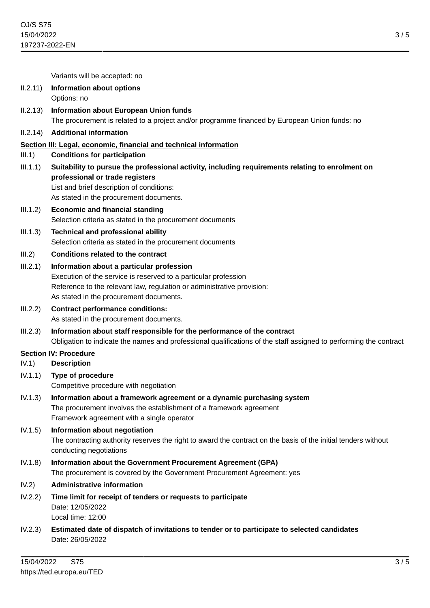3 / 5

|                              | Variants will be accepted: no                                                                                                                                                                                               |
|------------------------------|-----------------------------------------------------------------------------------------------------------------------------------------------------------------------------------------------------------------------------|
| II.2.11)                     | <b>Information about options</b><br>Options: no                                                                                                                                                                             |
| II.2.13)                     | <b>Information about European Union funds</b><br>The procurement is related to a project and/or programme financed by European Union funds: no                                                                              |
| II.2.14)                     | <b>Additional information</b>                                                                                                                                                                                               |
|                              | Section III: Legal, economic, financial and technical information                                                                                                                                                           |
| III.1)                       | <b>Conditions for participation</b>                                                                                                                                                                                         |
| III.1.1)                     | Suitability to pursue the professional activity, including requirements relating to enrolment on<br>professional or trade registers<br>List and brief description of conditions:<br>As stated in the procurement documents. |
| III.1.2)                     | <b>Economic and financial standing</b><br>Selection criteria as stated in the procurement documents                                                                                                                         |
| III.1.3)                     | <b>Technical and professional ability</b><br>Selection criteria as stated in the procurement documents                                                                                                                      |
| III.2)                       | <b>Conditions related to the contract</b>                                                                                                                                                                                   |
| III.2.1)                     | Information about a particular profession<br>Execution of the service is reserved to a particular profession                                                                                                                |
|                              | Reference to the relevant law, regulation or administrative provision:<br>As stated in the procurement documents.                                                                                                           |
| III.2.2)                     | <b>Contract performance conditions:</b>                                                                                                                                                                                     |
|                              | As stated in the procurement documents.                                                                                                                                                                                     |
| III.2.3)                     | Information about staff responsible for the performance of the contract<br>Obligation to indicate the names and professional qualifications of the staff assigned to performing the contract                                |
| <b>Section IV: Procedure</b> |                                                                                                                                                                                                                             |
| IV.1)                        | <b>Description</b>                                                                                                                                                                                                          |
| IV.1.1)                      | Type of procedure<br>Competitive procedure with negotiation                                                                                                                                                                 |
| IV.1.3)                      | Information about a framework agreement or a dynamic purchasing system<br>The procurement involves the establishment of a framework agreement<br>Framework agreement with a single operator                                 |
| IV.1.5)                      | Information about negotiation<br>The contracting authority reserves the right to award the contract on the basis of the initial tenders without<br>conducting negotiations                                                  |
| IV.1.8)                      | Information about the Government Procurement Agreement (GPA)<br>The procurement is covered by the Government Procurement Agreement: yes                                                                                     |
| IV.2)                        | <b>Administrative information</b>                                                                                                                                                                                           |
| IV.2.2)                      | Time limit for receipt of tenders or requests to participate<br>Date: 12/05/2022<br>Local time: 12:00                                                                                                                       |
| IV.2.3)                      | Estimated date of dispatch of invitations to tender or to participate to selected candidates<br>Date: 26/05/2022                                                                                                            |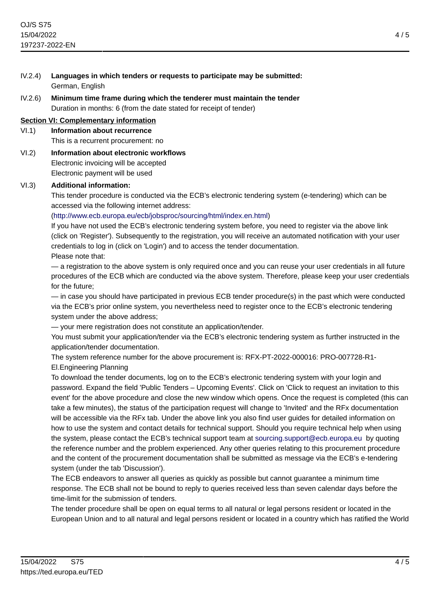- IV.2.4) **Languages in which tenders or requests to participate may be submitted:** German, English
- IV.2.6) **Minimum time frame during which the tenderer must maintain the tender** Duration in months: 6 (from the date stated for receipt of tender)

# **Section VI: Complementary information**

- VI.1) **Information about recurrence** This is a recurrent procurement: no
- VI.2) **Information about electronic workflows** Electronic invoicing will be accepted Electronic payment will be used

#### VI.3) **Additional information:**

This tender procedure is conducted via the ECB's electronic tendering system (e-tendering) which can be accessed via the following internet address:

# [\(http://www.ecb.europa.eu/ecb/jobsproc/sourcing/html/index.en.html\)](http://www.ecb.europa.eu/ecb/jobsproc/sourcing/html/index.en.html)

If you have not used the ECB's electronic tendering system before, you need to register via the above link (click on 'Register'). Subsequently to the registration, you will receive an automated notification with your user credentials to log in (click on 'Login') and to access the tender documentation.

Please note that:

— a registration to the above system is only required once and you can reuse your user credentials in all future procedures of the ECB which are conducted via the above system. Therefore, please keep your user credentials for the future;

— in case you should have participated in previous ECB tender procedure(s) in the past which were conducted via the ECB's prior online system, you nevertheless need to register once to the ECB's electronic tendering system under the above address;

— your mere registration does not constitute an application/tender.

You must submit your application/tender via the ECB's electronic tendering system as further instructed in the application/tender documentation.

The system reference number for the above procurement is: RFX-PT-2022-000016: PRO-007728-R1- El.Engineering Planning

To download the tender documents, log on to the ECB's electronic tendering system with your login and password. Expand the field 'Public Tenders – Upcoming Events'. Click on 'Click to request an invitation to this event' for the above procedure and close the new window which opens. Once the request is completed (this can take a few minutes), the status of the participation request will change to 'Invited' and the RFx documentation will be accessible via the RFx tab. Under the above link you also find user guides for detailed information on how to use the system and contact details for technical support. Should you require technical help when using the system, please contact the ECB's technical support team at [sourcing.support@ecb.europa.eu](mailto:sourcing.support@ecb.europa.eu) by quoting the reference number and the problem experienced. Any other queries relating to this procurement procedure and the content of the procurement documentation shall be submitted as message via the ECB's e-tendering system (under the tab 'Discussion').

The ECB endeavors to answer all queries as quickly as possible but cannot guarantee a minimum time response. The ECB shall not be bound to reply to queries received less than seven calendar days before the time-limit for the submission of tenders.

The tender procedure shall be open on equal terms to all natural or legal persons resident or located in the European Union and to all natural and legal persons resident or located in a country which has ratified the World